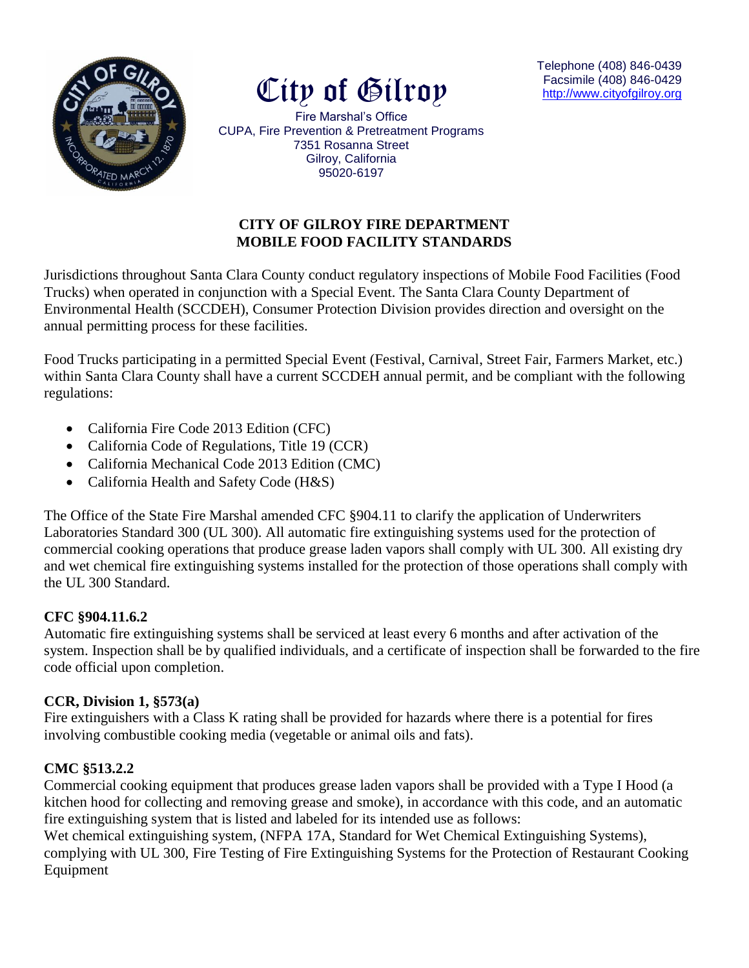



Telephone (408) 846-0439 Facsimile (408) 846-0429 [http://www.cityofg](http://www.cityof/)ilroy.org

Fire Marshal's Office CUPA, Fire Prevention & Pretreatment Programs 7351 Rosanna Street Gilroy, California 95020-6197

## **CITY OF GILROY FIRE DEPARTMENT MOBILE FOOD FACILITY STANDARDS**

Jurisdictions throughout Santa Clara County conduct regulatory inspections of Mobile Food Facilities (Food Trucks) when operated in conjunction with a Special Event. The Santa Clara County Department of Environmental Health (SCCDEH), Consumer Protection Division provides direction and oversight on the annual permitting process for these facilities.

Food Trucks participating in a permitted Special Event (Festival, Carnival, Street Fair, Farmers Market, etc.) within Santa Clara County shall have a current SCCDEH annual permit, and be compliant with the following regulations:

- California Fire Code 2013 Edition (CFC)
- California Code of Regulations, Title 19 (CCR)
- California Mechanical Code 2013 Edition (CMC)
- California Health and Safety Code (H&S)

The Office of the State Fire Marshal amended CFC §904.11 to clarify the application of Underwriters Laboratories Standard 300 (UL 300). All automatic fire extinguishing systems used for the protection of commercial cooking operations that produce grease laden vapors shall comply with UL 300. All existing dry and wet chemical fire extinguishing systems installed for the protection of those operations shall comply with the UL 300 Standard.

### **CFC §904.11.6.2**

Automatic fire extinguishing systems shall be serviced at least every 6 months and after activation of the system. Inspection shall be by qualified individuals, and a certificate of inspection shall be forwarded to the fire code official upon completion.

### **CCR, Division 1, §573(a)**

Fire extinguishers with a Class K rating shall be provided for hazards where there is a potential for fires involving combustible cooking media (vegetable or animal oils and fats).

### **CMC §513.2.2**

Commercial cooking equipment that produces grease laden vapors shall be provided with a Type I Hood (a kitchen hood for collecting and removing grease and smoke), in accordance with this code, and an automatic fire extinguishing system that is listed and labeled for its intended use as follows:

Wet chemical extinguishing system, (NFPA 17A, Standard for Wet Chemical Extinguishing Systems), complying with UL 300, Fire Testing of Fire Extinguishing Systems for the Protection of Restaurant Cooking Equipment